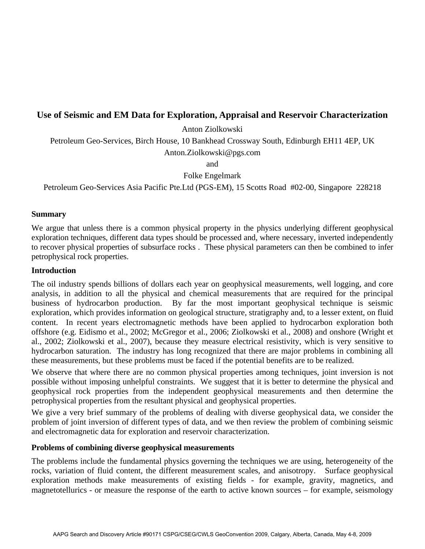# **Use of Seismic and EM Data for Exploration, Appraisal and Reservoir Characterization**

Anton Ziolkowski

Petroleum Geo-Services, Birch House, 10 Bankhead Crossway South, Edinburgh EH11 4EP, UK

Anton.Ziolkowski@pgs.com

and

Folke Engelmark

Petroleum Geo-Services Asia Pacific Pte.Ltd (PGS-EM), 15 Scotts Road #02-00, Singapore 228218

#### **Summary**

We argue that unless there is a common physical property in the physics underlying different geophysical exploration techniques, different data types should be processed and, where necessary, inverted independently to recover physical properties of subsurface rocks . These physical parameters can then be combined to infer petrophysical rock properties.

### **Introduction**

The oil industry spends billions of dollars each year on geophysical measurements, well logging, and core analysis, in addition to all the physical and chemical measurements that are required for the principal business of hydrocarbon production. By far the most important geophysical technique is seismic exploration, which provides information on geological structure, stratigraphy and, to a lesser extent, on fluid content. In recent years electromagnetic methods have been applied to hydrocarbon exploration both offshore (e.g. Eidismo et al., 2002; McGregor et al., 2006; Ziolkowski et al., 2008) and onshore (Wright et al., 2002; Ziolkowski et al., 2007), because they measure electrical resistivity, which is very sensitive to hydrocarbon saturation. The industry has long recognized that there are major problems in combining all these measurements, but these problems must be faced if the potential benefits are to be realized.

We observe that where there are no common physical properties among techniques, joint inversion is not possible without imposing unhelpful constraints. We suggest that it is better to determine the physical and geophysical rock properties from the independent geophysical measurements and then determine the petrophysical properties from the resultant physical and geophysical properties.

We give a very brief summary of the problems of dealing with diverse geophysical data, we consider the problem of joint inversion of different types of data, and we then review the problem of combining seismic and electromagnetic data for exploration and reservoir characterization.

## **Problems of combining diverse geophysical measurements**

The problems include the fundamental physics governing the techniques we are using, heterogeneity of the rocks, variation of fluid content, the different measurement scales, and anisotropy. Surface geophysical exploration methods make measurements of existing fields - for example, gravity, magnetics, and magnetotellurics - or measure the response of the earth to active known sources – for example, seismology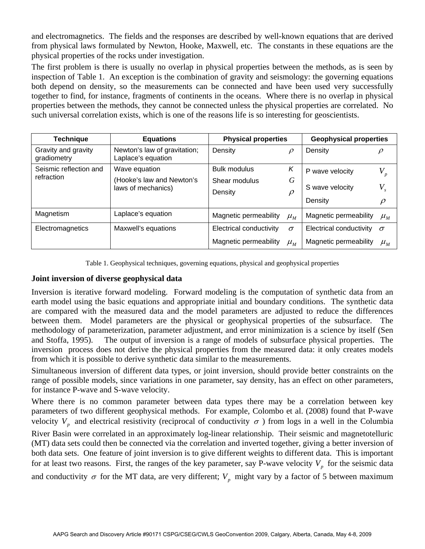and electromagnetics. The fields and the responses are described by well-known equations that are derived from physical laws formulated by Newton, Hooke, Maxwell, etc. The constants in these equations are the physical properties of the rocks under investigation.

The first problem is there is usually no overlap in physical properties between the methods, as is seen by inspection of Table 1. An exception is the combination of gravity and seismology: the governing equations both depend on density, so the measurements can be connected and have been used very successfully together to find, for instance, fragments of continents in the oceans. Where there is no overlap in physical properties between the methods, they cannot be connected unless the physical properties are correlated. No such universal correlation exists, which is one of the reasons life is so interesting for geoscientists.

| <b>Technique</b>                     | <b>Equations</b>                                   | <b>Physical properties</b> |                              | <b>Geophysical properties</b> |                              |
|--------------------------------------|----------------------------------------------------|----------------------------|------------------------------|-------------------------------|------------------------------|
| Gravity and gravity<br>gradiometry   | Newton's law of gravitation;<br>Laplace's equation | Density                    | $\rho$                       | Density                       |                              |
| Seismic reflection and<br>refraction | Wave equation                                      | Bulk modulus               | K                            | P wave velocity               | $V_p$                        |
|                                      | (Hooke's law and Newton's<br>laws of mechanics)    | Shear modulus<br>Density   | G<br>$\rho$                  | S wave velocity<br>Density    | $V_{s}$<br>$\rho$            |
| Magnetism                            | Laplace's equation                                 | Magnetic permeability      | $\mu_{\scriptscriptstyle M}$ | Magnetic permeability         | $\mu_{\scriptscriptstyle M}$ |
| Electromagnetics                     | Maxwell's equations                                | Electrical conductivity    | $\sigma$                     | Electrical conductivity       | $\sigma$                     |
|                                      |                                                    | Magnetic permeability      | $\mu_{\scriptscriptstyle M}$ | Magnetic permeability         | $\mu_M$                      |

Table 1. Geophysical techniques, governing equations, physical and geophysical properties

### **Joint inversion of diverse geophysical data**

Inversion is iterative forward modeling. Forward modeling is the computation of synthetic data from an earth model using the basic equations and appropriate initial and boundary conditions. The synthetic data are compared with the measured data and the model parameters are adjusted to reduce the differences between them. Model parameters are the physical or geophysical properties of the subsurface. The methodology of parameterization, parameter adjustment, and error minimization is a science by itself (Sen and Stoffa, 1995). The output of inversion is a range of models of subsurface physical properties. The inversion process does not derive the physical properties from the measured data: it only creates models from which it is possible to derive synthetic data similar to the measurements.

Simultaneous inversion of different data types, or joint inversion, should provide better constraints on the range of possible models, since variations in one parameter, say density, has an effect on other parameters, for instance P-wave and S-wave velocity.

Where there is no common parameter between data types there may be a correlation between key parameters of two different geophysical methods. For example, Colombo et al. (2008) found that P-wave velocity  $V_p$  and electrical resistivity (reciprocal of conductivity  $\sigma$ ) from logs in a well in the Columbia

River Basin were correlated in an approximately log-linear relationship. Their seismic and magnetotelluric (MT) data sets could then be connected via the correlation and inverted together, giving a better inversion of both data sets. One feature of joint inversion is to give different weights to different data. This is important for at least two reasons. First, the ranges of the key parameter, say P-wave velocity  $V_p$  for the seismic data and conductivity  $\sigma$  for the MT data, are very different;  $V_p$  might vary by a factor of 5 between maximum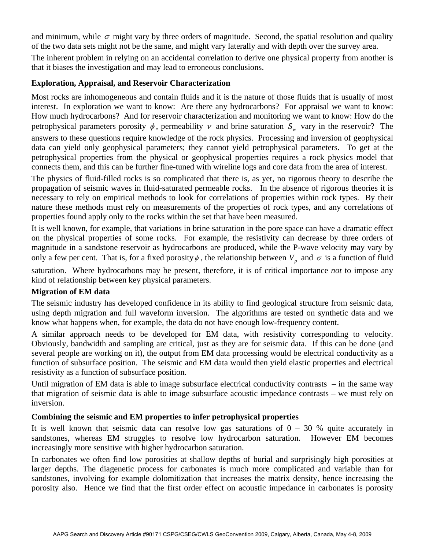and minimum, while  $\sigma$  might vary by three orders of magnitude. Second, the spatial resolution and quality of the two data sets might not be the same, and might vary laterally and with depth over the survey area.

The inherent problem in relying on an accidental correlation to derive one physical property from another is that it biases the investigation and may lead to erroneous conclusions.

### **Exploration, Appraisal, and Reservoir Characterization**

Most rocks are inhomogeneous and contain fluids and it is the nature of those fluids that is usually of most interest. In exploration we want to know: Are there any hydrocarbons? For appraisal we want to know: How much hydrocarbons? And for reservoir characterization and monitoring we want to know: How do the petrophysical parameters porosity  $\phi$ , permeability  $\nu$  and brine saturation  $S_{w}$  vary in the reservoir? The answers to these questions require knowledge of the rock physics. Processing and inversion of geophysical data can yield only geophysical parameters; they cannot yield petrophysical parameters. To get at the petrophysical properties from the physical or geophysical properties requires a rock physics model that connects them, and this can be further fine-tuned with wireline logs and core data from the area of interest.

The physics of fluid-filled rocks is so complicated that there is, as yet, no rigorous theory to describe the propagation of seismic waves in fluid-saturated permeable rocks. In the absence of rigorous theories it is necessary to rely on empirical methods to look for correlations of properties within rock types. By their nature these methods must rely on measurements of the properties of rock types, and any correlations of properties found apply only to the rocks within the set that have been measured.

It is well known, for example, that variations in brine saturation in the pore space can have a dramatic effect on the physical properties of some rocks. For example, the resistivity can decrease by three orders of magnitude in a sandstone reservoir as hydrocarbons are produced, while the P-wave velocity may vary by only a few per cent. That is, for a fixed porosity  $\phi$ , the relationship between  $V_p$  and  $\sigma$  is a function of fluid

saturation. Where hydrocarbons may be present, therefore, it is of critical importance *not* to impose any kind of relationship between key physical parameters.

## **Migration of EM data**

The seismic industry has developed confidence in its ability to find geological structure from seismic data, using depth migration and full waveform inversion. The algorithms are tested on synthetic data and we know what happens when, for example, the data do not have enough low-frequency content.

A similar approach needs to be developed for EM data, with resistivity corresponding to velocity. Obviously, bandwidth and sampling are critical, just as they are for seismic data. If this can be done (and several people are working on it), the output from EM data processing would be electrical conductivity as a function of subsurface position. The seismic and EM data would then yield elastic properties and electrical resistivity as a function of subsurface position.

Until migration of EM data is able to image subsurface electrical conductivity contrasts – in the same way that migration of seismic data is able to image subsurface acoustic impedance contrasts – we must rely on inversion.

#### **Combining the seismic and EM properties to infer petrophysical properties**

It is well known that seismic data can resolve low gas saturations of  $0 - 30$  % quite accurately in sandstones, whereas EM struggles to resolve low hydrocarbon saturation. However EM becomes increasingly more sensitive with higher hydrocarbon saturation.

In carbonates we often find low porosities at shallow depths of burial and surprisingly high porosities at larger depths. The diagenetic process for carbonates is much more complicated and variable than for sandstones, involving for example dolomitization that increases the matrix density, hence increasing the porosity also. Hence we find that the first order effect on acoustic impedance in carbonates is porosity